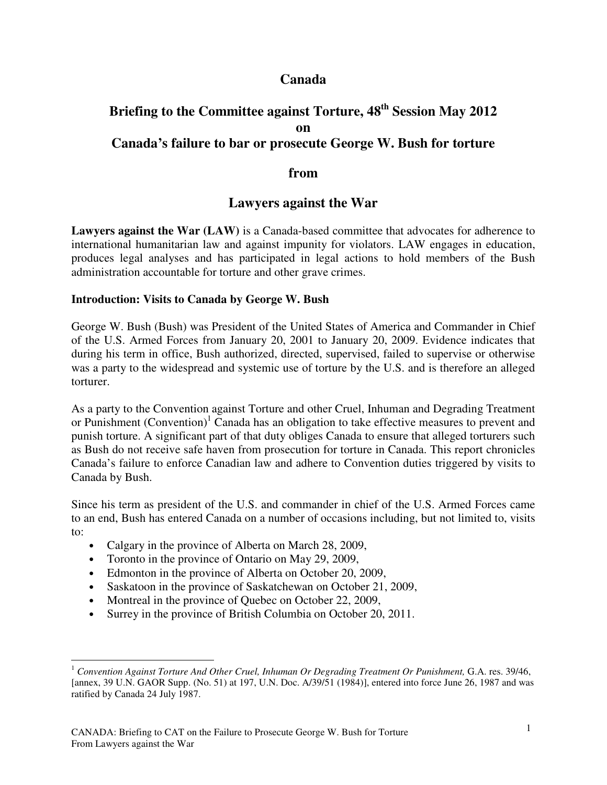# **Canada**

# **Briefing to the Committee against Torture, 48th Session May 2012 on Canada's failure to bar or prosecute George W. Bush for torture**

## **from**

# **Lawyers against the War**

**Lawyers against the War (LAW)** is a Canada-based committee that advocates for adherence to international humanitarian law and against impunity for violators. LAW engages in education, produces legal analyses and has participated in legal actions to hold members of the Bush administration accountable for torture and other grave crimes.

#### **Introduction: Visits to Canada by George W. Bush**

George W. Bush (Bush) was President of the United States of America and Commander in Chief of the U.S. Armed Forces from January 20, 2001 to January 20, 2009. Evidence indicates that during his term in office, Bush authorized, directed, supervised, failed to supervise or otherwise was a party to the widespread and systemic use of torture by the U.S. and is therefore an alleged torturer.

As a party to the Convention against Torture and other Cruel, Inhuman and Degrading Treatment or Punishment (Convention)<sup>1</sup> Canada has an obligation to take effective measures to prevent and punish torture. A significant part of that duty obliges Canada to ensure that alleged torturers such as Bush do not receive safe haven from prosecution for torture in Canada. This report chronicles Canada's failure to enforce Canadian law and adhere to Convention duties triggered by visits to Canada by Bush.

Since his term as president of the U.S. and commander in chief of the U.S. Armed Forces came to an end, Bush has entered Canada on a number of occasions including, but not limited to, visits to:

- Calgary in the province of Alberta on March 28, 2009,
- Toronto in the province of Ontario on May 29, 2009,
- Edmonton in the province of Alberta on October 20, 2009,
- Saskatoon in the province of Saskatchewan on October 21, 2009,
- Montreal in the province of Quebec on October 22, 2009,
- Surrey in the province of British Columbia on October 20, 2011.

 $\overline{a}$ <sup>1</sup> Convention Against Torture And Other Cruel, Inhuman Or Degrading Treatment Or Punishment, G.A. res. 39/46, [annex, 39 U.N. GAOR Supp. (No. 51) at 197, U.N. Doc. A/39/51 (1984)], entered into force June 26, 1987 and was ratified by Canada 24 July 1987.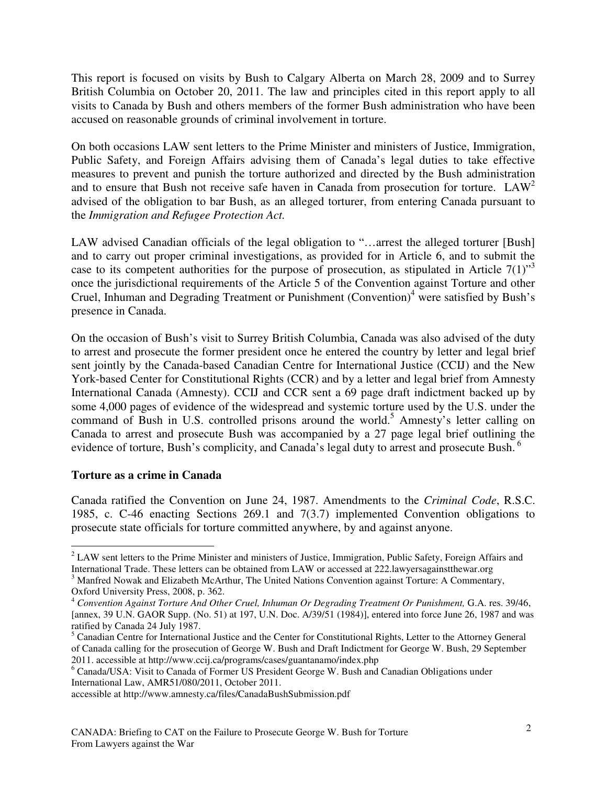This report is focused on visits by Bush to Calgary Alberta on March 28, 2009 and to Surrey British Columbia on October 20, 2011. The law and principles cited in this report apply to all visits to Canada by Bush and others members of the former Bush administration who have been accused on reasonable grounds of criminal involvement in torture.

On both occasions LAW sent letters to the Prime Minister and ministers of Justice, Immigration, Public Safety, and Foreign Affairs advising them of Canada's legal duties to take effective measures to prevent and punish the torture authorized and directed by the Bush administration and to ensure that Bush not receive safe haven in Canada from prosecution for torture.  $LAW^2$ advised of the obligation to bar Bush, as an alleged torturer, from entering Canada pursuant to the *Immigration and Refugee Protection Act.* 

LAW advised Canadian officials of the legal obligation to "...arrest the alleged torturer [Bush] and to carry out proper criminal investigations, as provided for in Article 6, and to submit the case to its competent authorities for the purpose of prosecution, as stipulated in Article  $7(1)$ <sup>3</sup> once the jurisdictional requirements of the Article 5 of the Convention against Torture and other Cruel, Inhuman and Degrading Treatment or Punishment (Convention)<sup>4</sup> were satisfied by Bush's presence in Canada.

On the occasion of Bush's visit to Surrey British Columbia, Canada was also advised of the duty to arrest and prosecute the former president once he entered the country by letter and legal brief sent jointly by the Canada-based Canadian Centre for International Justice (CCIJ) and the New York-based Center for Constitutional Rights (CCR) and by a letter and legal brief from Amnesty International Canada (Amnesty). CCIJ and CCR sent a 69 page draft indictment backed up by some 4,000 pages of evidence of the widespread and systemic torture used by the U.S. under the command of Bush in U.S. controlled prisons around the world.<sup>5</sup> Amnesty's letter calling on Canada to arrest and prosecute Bush was accompanied by a 27 page legal brief outlining the evidence of torture, Bush's complicity, and Canada's legal duty to arrest and prosecute Bush.<sup>6</sup>

#### **Torture as a crime in Canada**

Canada ratified the Convention on June 24, 1987. Amendments to the *Criminal Code*, R.S.C. 1985, c. C-46 enacting Sections 269.1 and 7(3.7) implemented Convention obligations to prosecute state officials for torture committed anywhere, by and against anyone.

 $\overline{a}$  $2$  LAW sent letters to the Prime Minister and ministers of Justice, Immigration, Public Safety, Foreign Affairs and International Trade. These letters can be obtained from LAW or accessed at 222.lawyersagainstthewar.org

<sup>&</sup>lt;sup>3</sup> Manfred Nowak and Elizabeth McArthur, The United Nations Convention against Torture: A Commentary, Oxford University Press, 2008, p. 362.

<sup>4</sup> *Convention Against Torture And Other Cruel, Inhuman Or Degrading Treatment Or Punishment,* G.A. res. 39/46, [annex, 39 U.N. GAOR Supp. (No. 51) at 197, U.N. Doc. A/39/51 (1984)], entered into force June 26, 1987 and was ratified by Canada 24 July 1987.

<sup>&</sup>lt;sup>5</sup> Canadian Centre for International Justice and the Center for Constitutional Rights, Letter to the Attorney General of Canada calling for the prosecution of George W. Bush and Draft Indictment for George W. Bush, 29 September 2011. accessible at http://www.ccij.ca/programs/cases/guantanamo/index.php

<sup>&</sup>lt;sup>6</sup> Canada/USA: Visit to Canada of Former US President George W. Bush and Canadian Obligations under International Law, AMR51/080/2011, October 2011.

accessible at http://www.amnesty.ca/files/CanadaBushSubmission.pdf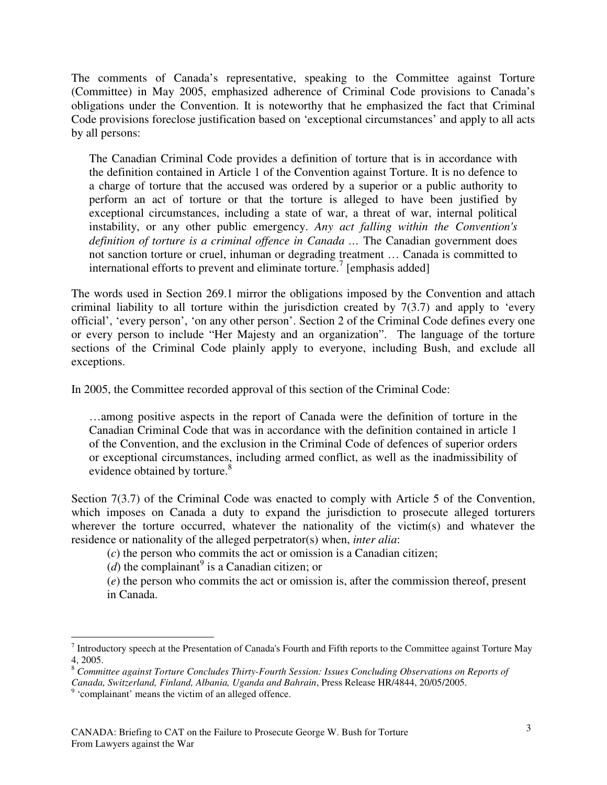The comments of Canada's representative, speaking to the Committee against Torture (Committee) in May 2005, emphasized adherence of Criminal Code provisions to Canada's obligations under the Convention. It is noteworthy that he emphasized the fact that Criminal Code provisions foreclose justification based on 'exceptional circumstances' and apply to all acts by all persons:

The Canadian Criminal Code provides a definition of torture that is in accordance with the definition contained in Article 1 of the Convention against Torture. It is no defence to a charge of torture that the accused was ordered by a superior or a public authority to perform an act of torture or that the torture is alleged to have been justified by exceptional circumstances, including a state of war, a threat of war, internal political instability, or any other public emergency. *Any act falling within the Convention's definition of torture is a criminal offence in Canada …* The Canadian government does not sanction torture or cruel, inhuman or degrading treatment … Canada is committed to international efforts to prevent and eliminate torture.<sup>7</sup> [emphasis added]

The words used in Section 269.1 mirror the obligations imposed by the Convention and attach criminal liability to all torture within the jurisdiction created by  $7(3.7)$  and apply to 'every official', 'every person', 'on any other person'. Section 2 of the Criminal Code defines every one or every person to include "Her Majesty and an organization". The language of the torture sections of the Criminal Code plainly apply to everyone, including Bush, and exclude all exceptions.

In 2005, the Committee recorded approval of this section of the Criminal Code:

…among positive aspects in the report of Canada were the definition of torture in the Canadian Criminal Code that was in accordance with the definition contained in article 1 of the Convention, and the exclusion in the Criminal Code of defences of superior orders or exceptional circumstances, including armed conflict, as well as the inadmissibility of evidence obtained by torture.<sup>8</sup>

Section 7(3.7) of the Criminal Code was enacted to comply with Article 5 of the Convention, which imposes on Canada a duty to expand the jurisdiction to prosecute alleged torturers wherever the torture occurred, whatever the nationality of the victim(s) and whatever the residence or nationality of the alleged perpetrator(s) when, *inter alia*:

(*c*) the person who commits the act or omission is a Canadian citizen;

 $(d)$  the complainant<sup>9</sup> is a Canadian citizen; or

(*e*) the person who commits the act or omission is, after the commission thereof, present in Canada.

 $<sup>7</sup>$  Introductory speech at the Presentation of Canada's Fourth and Fifth reports to the Committee against Torture May</sup> 4, 2005.

<sup>8</sup> *Committee against Torture Concludes Thirty-Fourth Session: Issues Concluding Observations on Reports of* 

*Canada, Switzerland, Finland, Albania, Uganda and Bahrain*, Press Release HR/4844, 20/05/2005.

<sup>&</sup>lt;sup>9</sup> 'complainant' means the victim of an alleged offence.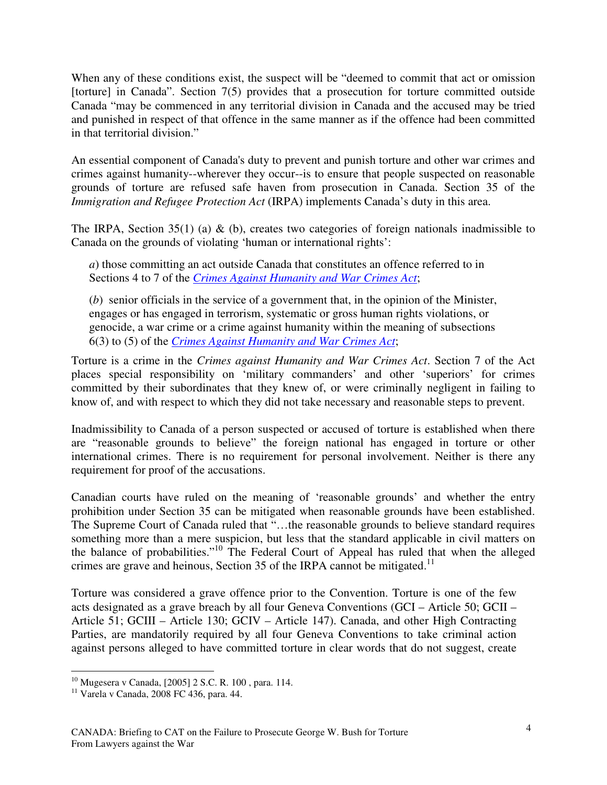When any of these conditions exist, the suspect will be "deemed to commit that act or omission [torture] in Canada". Section 7(5) provides that a prosecution for torture committed outside Canada "may be commenced in any territorial division in Canada and the accused may be tried and punished in respect of that offence in the same manner as if the offence had been committed in that territorial division."

An essential component of Canada's duty to prevent and punish torture and other war crimes and crimes against humanity--wherever they occur--is to ensure that people suspected on reasonable grounds of torture are refused safe haven from prosecution in Canada. Section 35 of the *Immigration and Refugee Protection Act* (IRPA) implements Canada's duty in this area.

The IRPA, Section 35(1) (a)  $\&$  (b), creates two categories of foreign nationals inadmissible to Canada on the grounds of violating 'human or international rights':

*a*) those committing an act outside Canada that constitutes an offence referred to in Sections 4 to 7 of the *Crimes Against Humanity and War Crimes Act*;

(*b*) senior officials in the service of a government that, in the opinion of the Minister, engages or has engaged in terrorism, systematic or gross human rights violations, or genocide, a war crime or a crime against humanity within the meaning of subsections 6(3) to (5) of the *Crimes Against Humanity and War Crimes Act*;

Torture is a crime in the *Crimes against Humanity and War Crimes Act*. Section 7 of the Act places special responsibility on 'military commanders' and other 'superiors' for crimes committed by their subordinates that they knew of, or were criminally negligent in failing to know of, and with respect to which they did not take necessary and reasonable steps to prevent.

Inadmissibility to Canada of a person suspected or accused of torture is established when there are "reasonable grounds to believe" the foreign national has engaged in torture or other international crimes. There is no requirement for personal involvement. Neither is there any requirement for proof of the accusations.

Canadian courts have ruled on the meaning of 'reasonable grounds' and whether the entry prohibition under Section 35 can be mitigated when reasonable grounds have been established. The Supreme Court of Canada ruled that "...the reasonable grounds to believe standard requires something more than a mere suspicion, but less that the standard applicable in civil matters on the balance of probabilities."<sup>10</sup> The Federal Court of Appeal has ruled that when the alleged crimes are grave and heinous, Section 35 of the IRPA cannot be mitigated.<sup>11</sup>

Torture was considered a grave offence prior to the Convention. Torture is one of the few acts designated as a grave breach by all four Geneva Conventions (GCI – Article 50; GCII – Article 51; GCIII – Article 130; GCIV – Article 147). Canada, and other High Contracting Parties, are mandatorily required by all four Geneva Conventions to take criminal action against persons alleged to have committed torture in clear words that do not suggest, create

 $\overline{a}$ <sup>10</sup> Mugesera v Canada, [2005] 2 S.C. R. 100 , para. 114.

<sup>11</sup> Varela v Canada, 2008 FC 436, para. 44.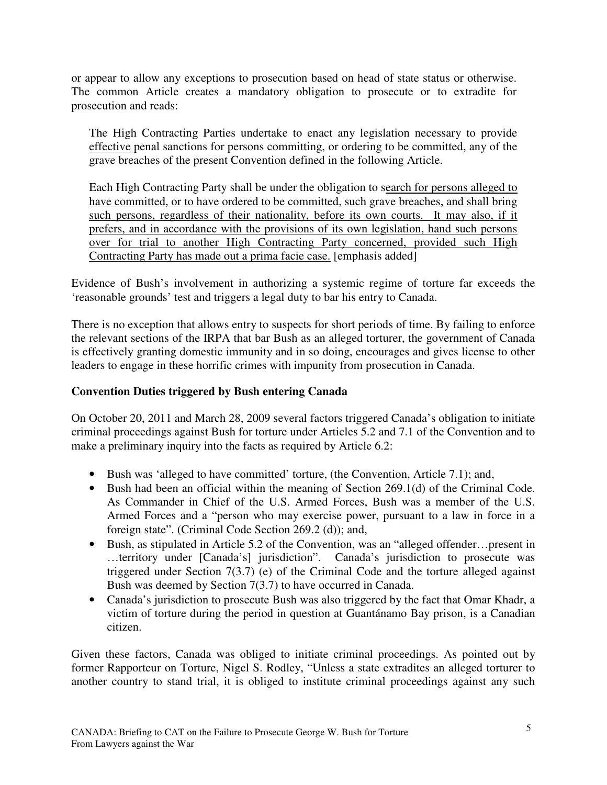or appear to allow any exceptions to prosecution based on head of state status or otherwise. The common Article creates a mandatory obligation to prosecute or to extradite for prosecution and reads:

The High Contracting Parties undertake to enact any legislation necessary to provide effective penal sanctions for persons committing, or ordering to be committed, any of the grave breaches of the present Convention defined in the following Article.

Each High Contracting Party shall be under the obligation to search for persons alleged to have committed, or to have ordered to be committed, such grave breaches, and shall bring such persons, regardless of their nationality, before its own courts. It may also, if it prefers, and in accordance with the provisions of its own legislation, hand such persons over for trial to another High Contracting Party concerned, provided such High Contracting Party has made out a prima facie case. [emphasis added]

Evidence of Bush's involvement in authorizing a systemic regime of torture far exceeds the 'reasonable grounds' test and triggers a legal duty to bar his entry to Canada.

There is no exception that allows entry to suspects for short periods of time. By failing to enforce the relevant sections of the IRPA that bar Bush as an alleged torturer, the government of Canada is effectively granting domestic immunity and in so doing, encourages and gives license to other leaders to engage in these horrific crimes with impunity from prosecution in Canada.

#### **Convention Duties triggered by Bush entering Canada**

On October 20, 2011 and March 28, 2009 several factors triggered Canada's obligation to initiate criminal proceedings against Bush for torture under Articles 5.2 and 7.1 of the Convention and to make a preliminary inquiry into the facts as required by Article 6.2:

- Bush was 'alleged to have committed' torture, (the Convention, Article 7.1); and,
- Bush had been an official within the meaning of Section 269.1(d) of the Criminal Code. As Commander in Chief of the U.S. Armed Forces, Bush was a member of the U.S. Armed Forces and a "person who may exercise power, pursuant to a law in force in a foreign state". (Criminal Code Section 269.2 (d)); and,
- Bush, as stipulated in Article 5.2 of the Convention, was an "alleged offender... present in …territory under [Canada's] jurisdiction". Canada's jurisdiction to prosecute was triggered under Section 7(3.7) (e) of the Criminal Code and the torture alleged against Bush was deemed by Section 7(3.7) to have occurred in Canada.
- Canada's jurisdiction to prosecute Bush was also triggered by the fact that Omar Khadr, a victim of torture during the period in question at Guantánamo Bay prison, is a Canadian citizen.

Given these factors, Canada was obliged to initiate criminal proceedings. As pointed out by former Rapporteur on Torture, Nigel S. Rodley, "Unless a state extradites an alleged torturer to another country to stand trial, it is obliged to institute criminal proceedings against any such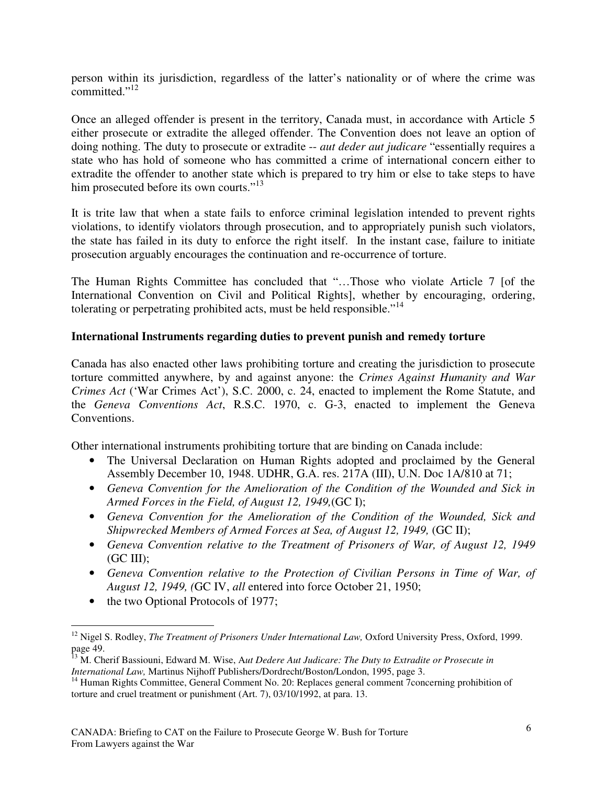person within its jurisdiction, regardless of the latter's nationality or of where the crime was committed."<sup>12</sup>

Once an alleged offender is present in the territory, Canada must, in accordance with Article 5 either prosecute or extradite the alleged offender. The Convention does not leave an option of doing nothing. The duty to prosecute or extradite -- *aut deder aut judicare* "essentially requires a state who has hold of someone who has committed a crime of international concern either to extradite the offender to another state which is prepared to try him or else to take steps to have him prosecuted before its own courts."<sup>13</sup>

It is trite law that when a state fails to enforce criminal legislation intended to prevent rights violations, to identify violators through prosecution, and to appropriately punish such violators, the state has failed in its duty to enforce the right itself. In the instant case, failure to initiate prosecution arguably encourages the continuation and re-occurrence of torture.

The Human Rights Committee has concluded that "…Those who violate Article 7 [of the International Convention on Civil and Political Rights], whether by encouraging, ordering, tolerating or perpetrating prohibited acts, must be held responsible."<sup>14</sup>

#### **International Instruments regarding duties to prevent punish and remedy torture**

Canada has also enacted other laws prohibiting torture and creating the jurisdiction to prosecute torture committed anywhere, by and against anyone: the *Crimes Against Humanity and War Crimes Act* ('War Crimes Act'), S.C. 2000, c. 24, enacted to implement the Rome Statute, and the *Geneva Conventions Act*, R.S.C. 1970, c. G-3, enacted to implement the Geneva Conventions.

Other international instruments prohibiting torture that are binding on Canada include:

- The Universal Declaration on Human Rights adopted and proclaimed by the General Assembly December 10, 1948. UDHR, G.A. res. 217A (III), U.N. Doc 1A/810 at 71;
- *Geneva Convention for the Amelioration of the Condition of the Wounded and Sick in Armed Forces in the Field, of August 12, 1949,*(GC I);
- *Geneva Convention for the Amelioration of the Condition of the Wounded, Sick and Shipwrecked Members of Armed Forces at Sea, of August 12, 1949,* (GC II);
- *Geneva Convention relative to the Treatment of Prisoners of War, of August 12, 1949*   $(GC \n<sub>II</sub>)$ :
- *Geneva Convention relative to the Protection of Civilian Persons in Time of War, of August 12, 1949, (*GC IV, *all* entered into force October 21, 1950;
- the two Optional Protocols of 1977;

<sup>&</sup>lt;sup>12</sup> Nigel S. Rodley, *The Treatment of Prisoners Under International Law*, Oxford University Press, Oxford, 1999. page 49.

<sup>&</sup>lt;sup>13</sup> M. Cherif Bassiouni, Edward M. Wise, Aut Dedere Aut Judicare: The Duty to Extradite or Prosecute in *International Law,* Martinus Nijhoff Publishers/Dordrecht/Boston/London, 1995, page 3.

<sup>&</sup>lt;sup>14</sup> Human Rights Committee, General Comment No. 20: Replaces general comment 7concerning prohibition of torture and cruel treatment or punishment (Art. 7), 03/10/1992, at para. 13.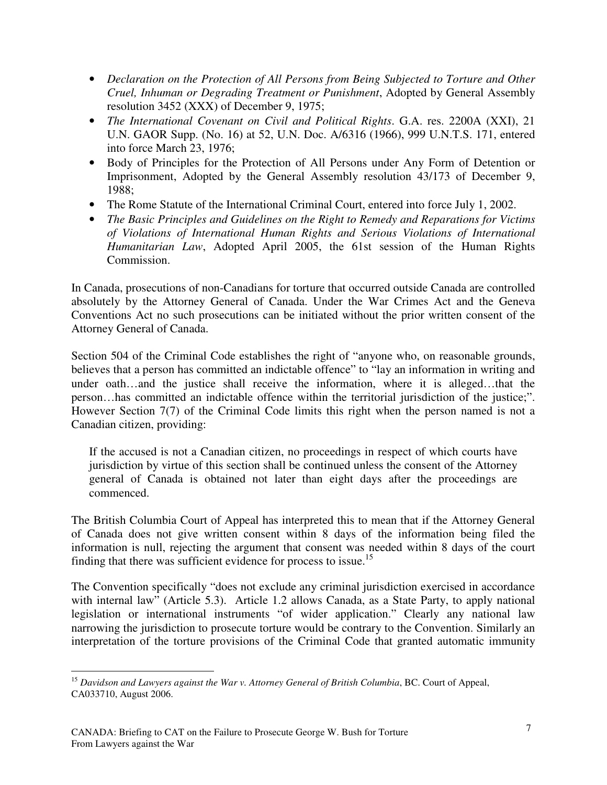- *Declaration on the Protection of All Persons from Being Subjected to Torture and Other Cruel, Inhuman or Degrading Treatment or Punishment*, Adopted by General Assembly resolution 3452 (XXX) of December 9, 1975;
- *The International Covenant on Civil and Political Rights*. G.A. res. 2200A (XXI), 21 U.N. GAOR Supp. (No. 16) at 52, U.N. Doc. A/6316 (1966), 999 U.N.T.S. 171, entered into force March 23, 1976;
- Body of Principles for the Protection of All Persons under Any Form of Detention or Imprisonment, Adopted by the General Assembly resolution 43/173 of December 9, 1988;
- The Rome Statute of the International Criminal Court, entered into force July 1, 2002.
- *The Basic Principles and Guidelines on the Right to Remedy and Reparations for Victims of Violations of International Human Rights and Serious Violations of International Humanitarian Law*, Adopted April 2005, the 61st session of the Human Rights Commission.

In Canada, prosecutions of non-Canadians for torture that occurred outside Canada are controlled absolutely by the Attorney General of Canada. Under the War Crimes Act and the Geneva Conventions Act no such prosecutions can be initiated without the prior written consent of the Attorney General of Canada.

Section 504 of the Criminal Code establishes the right of "anyone who, on reasonable grounds, believes that a person has committed an indictable offence" to "lay an information in writing and under oath…and the justice shall receive the information, where it is alleged…that the person…has committed an indictable offence within the territorial jurisdiction of the justice;". However Section 7(7) of the Criminal Code limits this right when the person named is not a Canadian citizen, providing:

If the accused is not a Canadian citizen, no proceedings in respect of which courts have jurisdiction by virtue of this section shall be continued unless the consent of the Attorney general of Canada is obtained not later than eight days after the proceedings are commenced.

The British Columbia Court of Appeal has interpreted this to mean that if the Attorney General of Canada does not give written consent within 8 days of the information being filed the information is null, rejecting the argument that consent was needed within 8 days of the court finding that there was sufficient evidence for process to issue.<sup>15</sup>

The Convention specifically "does not exclude any criminal jurisdiction exercised in accordance with internal law" (Article 5.3). Article 1.2 allows Canada, as a State Party, to apply national legislation or international instruments "of wider application." Clearly any national law narrowing the jurisdiction to prosecute torture would be contrary to the Convention. Similarly an interpretation of the torture provisions of the Criminal Code that granted automatic immunity

 $\overline{a}$ <sup>15</sup> Davidson and Lawyers against the War v. Attorney General of British Columbia, BC. Court of Appeal, CA033710, August 2006.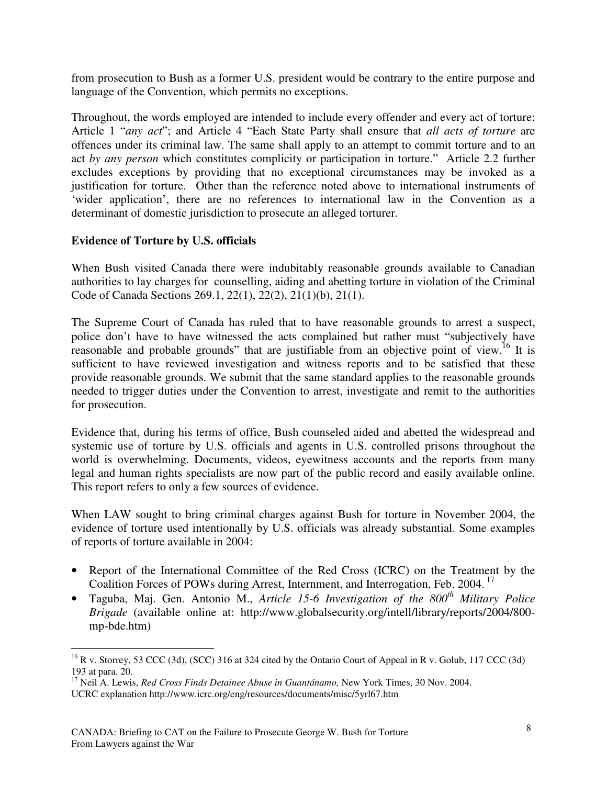from prosecution to Bush as a former U.S. president would be contrary to the entire purpose and language of the Convention, which permits no exceptions.

Throughout, the words employed are intended to include every offender and every act of torture: Article 1 "*any act*"; and Article 4 "Each State Party shall ensure that *all acts of torture* are offences under its criminal law. The same shall apply to an attempt to commit torture and to an act *by any person* which constitutes complicity or participation in torture." Article 2.2 further excludes exceptions by providing that no exceptional circumstances may be invoked as a justification for torture. Other than the reference noted above to international instruments of 'wider application', there are no references to international law in the Convention as a determinant of domestic jurisdiction to prosecute an alleged torturer.

#### **Evidence of Torture by U.S. officials**

When Bush visited Canada there were indubitably reasonable grounds available to Canadian authorities to lay charges for counselling, aiding and abetting torture in violation of the Criminal Code of Canada Sections 269.1, 22(1), 22(2), 21(1)(b), 21(1).

The Supreme Court of Canada has ruled that to have reasonable grounds to arrest a suspect, police don't have to have witnessed the acts complained but rather must "subjectively have reasonable and probable grounds" that are justifiable from an objective point of view.<sup>16</sup> It is sufficient to have reviewed investigation and witness reports and to be satisfied that these provide reasonable grounds. We submit that the same standard applies to the reasonable grounds needed to trigger duties under the Convention to arrest, investigate and remit to the authorities for prosecution.

Evidence that, during his terms of office, Bush counseled aided and abetted the widespread and systemic use of torture by U.S. officials and agents in U.S. controlled prisons throughout the world is overwhelming. Documents, videos, eyewitness accounts and the reports from many legal and human rights specialists are now part of the public record and easily available online. This report refers to only a few sources of evidence.

When LAW sought to bring criminal charges against Bush for torture in November 2004, the evidence of torture used intentionally by U.S. officials was already substantial. Some examples of reports of torture available in 2004:

- Report of the International Committee of the Red Cross (ICRC) on the Treatment by the Coalition Forces of POWs during Arrest, Internment, and Interrogation, Feb. 2004.<sup>17</sup>
- Taguba, Maj. Gen. Antonio M., *Article 15-6 Investigation of the 800th Military Police Brigade* (available online at: http://www.globalsecurity.org/intell/library/reports/2004/800 mp-bde.htm)

 $^{16}$  R v. Storrey, 53 CCC (3d), (SCC) 316 at 324 cited by the Ontario Court of Appeal in R v. Golub, 117 CCC (3d) 193 at para. 20.

<sup>&</sup>lt;sup>17</sup> Neil A. Lewis, *Red Cross Finds Detainee Abuse in Guantánamo*, New York Times, 30 Nov. 2004.

UCRC explanation http://www.icrc.org/eng/resources/documents/misc/5yrl67.htm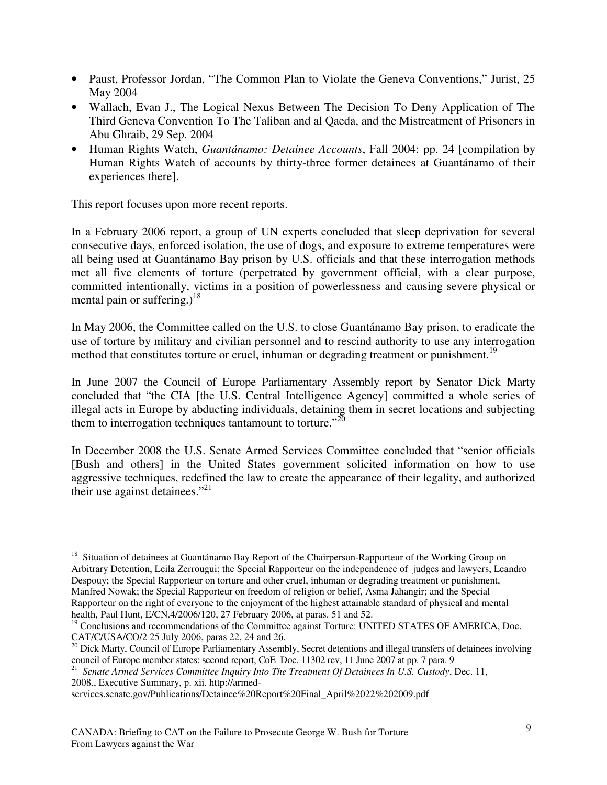- Paust, Professor Jordan, "The Common Plan to Violate the Geneva Conventions," Jurist, 25 May 2004
- Wallach, Evan J., The Logical Nexus Between The Decision To Deny Application of The Third Geneva Convention To The Taliban and al Qaeda, and the Mistreatment of Prisoners in Abu Ghraib, 29 Sep. 2004
- Human Rights Watch, *Guantánamo: Detainee Accounts*, Fall 2004: pp. 24 [compilation by Human Rights Watch of accounts by thirty-three former detainees at Guantánamo of their experiences there].

This report focuses upon more recent reports.

In a February 2006 report, a group of UN experts concluded that sleep deprivation for several consecutive days, enforced isolation, the use of dogs, and exposure to extreme temperatures were all being used at Guantánamo Bay prison by U.S. officials and that these interrogation methods met all five elements of torture (perpetrated by government official, with a clear purpose, committed intentionally, victims in a position of powerlessness and causing severe physical or mental pain or suffering.)<sup>18</sup>

In May 2006, the Committee called on the U.S. to close Guantánamo Bay prison, to eradicate the use of torture by military and civilian personnel and to rescind authority to use any interrogation method that constitutes torture or cruel, inhuman or degrading treatment or punishment.<sup>19</sup>

In June 2007 the Council of Europe Parliamentary Assembly report by Senator Dick Marty concluded that "the CIA [the U.S. Central Intelligence Agency] committed a whole series of illegal acts in Europe by abducting individuals, detaining them in secret locations and subjecting them to interrogation techniques tantamount to torture. $^{20}$ 

In December 2008 the U.S. Senate Armed Services Committee concluded that "senior officials [Bush and others] in the United States government solicited information on how to use aggressive techniques, redefined the law to create the appearance of their legality, and authorized their use against detainees."<sup>21</sup>

 $\overline{a}$ <sup>18</sup> Situation of detainees at Guantánamo Bay Report of the Chairperson-Rapporteur of the Working Group on Arbitrary Detention, Leila Zerrougui; the Special Rapporteur on the independence of judges and lawyers, Leandro Despouy; the Special Rapporteur on torture and other cruel, inhuman or degrading treatment or punishment, Manfred Nowak; the Special Rapporteur on freedom of religion or belief, Asma Jahangir; and the Special Rapporteur on the right of everyone to the enjoyment of the highest attainable standard of physical and mental health, Paul Hunt, E/CN.4/2006/120, 27 February 2006, at paras. 51 and 52.

<sup>&</sup>lt;sup>19</sup> Conclusions and recommendations of the Committee against Torture: UNITED STATES OF AMERICA, Doc. CAT/C/USA/CO/2 25 July 2006, paras 22, 24 and 26.

<sup>&</sup>lt;sup>20</sup> Dick Marty, Council of Europe Parliamentary Assembly, Secret detentions and illegal transfers of detainees involving council of Europe member states: second report, CoE Doc. 11302 rev, 11 June 2007 at pp. 7 para. 9

<sup>&</sup>lt;sup>21</sup> Senate Armed Services Committee Inquiry Into The Treatment Of Detainees In U.S. Custody, Dec. 11, 2008., Executive Summary, p. xii. http://armed-

services.senate.gov/Publications/Detainee%20Report%20Final\_April%2022%202009.pdf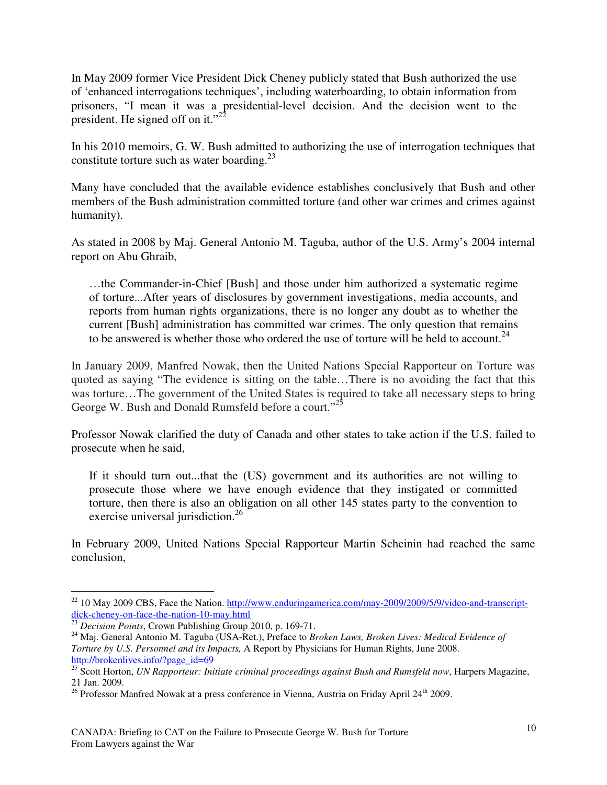In May 2009 former Vice President Dick Cheney publicly stated that Bush authorized the use of 'enhanced interrogations techniques', including waterboarding, to obtain information from prisoners, "I mean it was a presidential-level decision. And the decision went to the president. He signed off on it." $2^2$ 

In his 2010 memoirs, G. W. Bush admitted to authorizing the use of interrogation techniques that constitute torture such as water boarding. $^{23}$ 

Many have concluded that the available evidence establishes conclusively that Bush and other members of the Bush administration committed torture (and other war crimes and crimes against humanity).

As stated in 2008 by Maj. General Antonio M. Taguba, author of the U.S. Army's 2004 internal report on Abu Ghraib,

…the Commander-in-Chief [Bush] and those under him authorized a systematic regime of torture...After years of disclosures by government investigations, media accounts, and reports from human rights organizations, there is no longer any doubt as to whether the current [Bush] administration has committed war crimes. The only question that remains to be answered is whether those who ordered the use of torture will be held to account.<sup>24</sup>

In January 2009, Manfred Nowak, then the United Nations Special Rapporteur on Torture was quoted as saying "The evidence is sitting on the table…There is no avoiding the fact that this was torture…The government of the United States is required to take all necessary steps to bring George W. Bush and Donald Rumsfeld before a court."<sup>25</sup>

Professor Nowak clarified the duty of Canada and other states to take action if the U.S. failed to prosecute when he said,

If it should turn out...that the (US) government and its authorities are not willing to prosecute those where we have enough evidence that they instigated or committed torture, then there is also an obligation on all other 145 states party to the convention to exercise universal jurisdiction.<sup>26</sup>

In February 2009, United Nations Special Rapporteur Martin Scheinin had reached the same conclusion,

 $\overline{a}$ <sup>22</sup> 10 May 2009 CBS, Face the Nation. http://www.enduringamerica.com/may-2009/2009/5/9/video-and-transcriptdick-cheney-on-face-the-nation-10-may.html

<sup>23</sup> *Decision Points*, Crown Publishing Group 2010, p. 169-71.

<sup>24</sup> Maj. General Antonio M. Taguba (USA-Ret.), Preface to *Broken Laws, Broken Lives: Medical Evidence of Torture by U.S. Personnel and its Impacts,* A Report by Physicians for Human Rights, June 2008. http://brokenlives.info/?page\_id=69

<sup>25</sup> Scott Horton, *UN Rapporteur: Initiate criminal proceedings against Bush and Rumsfeld now*, Harpers Magazine, 21 Jan. 2009.

<sup>&</sup>lt;sup>26</sup> Professor Manfred Nowak at a press conference in Vienna, Austria on Friday April  $24<sup>th</sup>$  2009.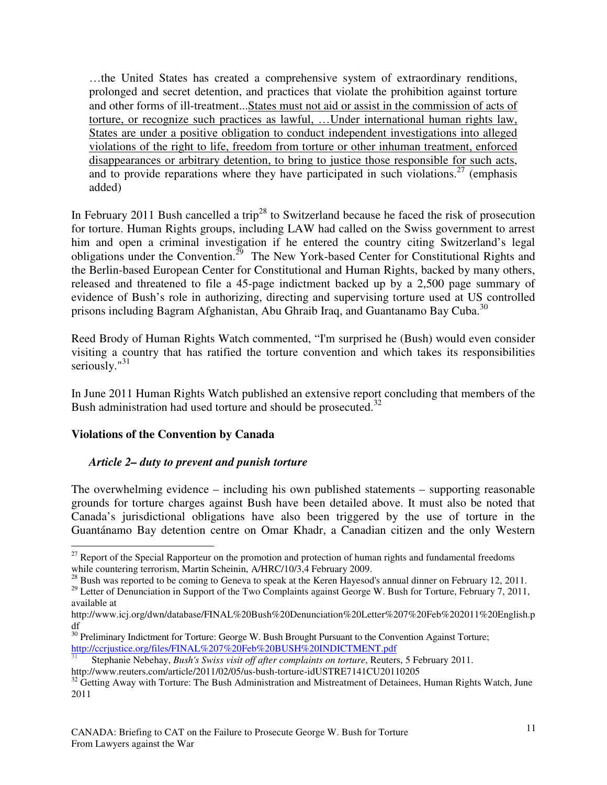…the United States has created a comprehensive system of extraordinary renditions, prolonged and secret detention, and practices that violate the prohibition against torture and other forms of ill-treatment...States must not aid or assist in the commission of acts of torture, or recognize such practices as lawful, …Under international human rights law, States are under a positive obligation to conduct independent investigations into alleged violations of the right to life, freedom from torture or other inhuman treatment, enforced disappearances or arbitrary detention, to bring to justice those responsible for such acts, and to provide reparations where they have participated in such violations.<sup>27</sup> (emphasis added)

In February 2011 Bush cancelled a trip<sup>28</sup> to Switzerland because he faced the risk of prosecution for torture. Human Rights groups, including LAW had called on the Swiss government to arrest him and open a criminal investigation if he entered the country citing Switzerland's legal obligations under the Convention.<sup>29</sup> The New York-based Center for Constitutional Rights and the Berlin-based European Center for Constitutional and Human Rights, backed by many others, released and threatened to file a 45-page indictment backed up by a 2,500 page summary of evidence of Bush's role in authorizing, directing and supervising torture used at US controlled prisons including Bagram Afghanistan, Abu Ghraib Iraq, and Guantanamo Bay Cuba.<sup>30</sup>

Reed Brody of Human Rights Watch commented, "I'm surprised he (Bush) would even consider visiting a country that has ratified the torture convention and which takes its responsibilities seriously." $31$ 

In June 2011 Human Rights Watch published an extensive report concluding that members of the Bush administration had used torture and should be prosecuted.<sup>32</sup>

#### **Violations of the Convention by Canada**

#### *Article 2– duty to prevent and punish torture*

The overwhelming evidence – including his own published statements – supporting reasonable grounds for torture charges against Bush have been detailed above. It must also be noted that Canada's jurisdictional obligations have also been triggered by the use of torture in the Guantánamo Bay detention centre on Omar Khadr, a Canadian citizen and the only Western

 $\overline{a}$ <sup>27</sup> Report of the Special Rapporteur on the promotion and protection of human rights and fundamental freedoms while countering terrorism, Martin Scheinin, A/HRC/10/3,4 February 2009.

<sup>&</sup>lt;sup>28</sup> Bush was reported to be coming to Geneva to speak at the Keren Hayesod's annual dinner on February 12, 2011.

<sup>&</sup>lt;sup>29</sup> Letter of Denunciation in Support of the Two Complaints against George W. Bush for Torture, February 7, 2011, available at

http://www.icj.org/dwn/database/FINAL%20Bush%20Denunciation%20Letter%207%20Feb%202011%20English.p df

<sup>&</sup>lt;sup>30</sup> Preliminary Indictment for Torture: George W. Bush Brought Pursuant to the Convention Against Torture; http://ccrjustice.org/files/FINAL%207%20Feb%20BUSH%20INDICTMENT.pdf

<sup>31</sup> Stephanie Nebehay, *Bush's Swiss visit off after complaints on torture*, Reuters, 5 February 2011.

http://www.reuters.com/article/2011/02/05/us-bush-torture-idUSTRE7141CU20110205

<sup>&</sup>lt;sup>32</sup> Getting Away with Torture: The Bush Administration and Mistreatment of Detainees, Human Rights Watch, June 2011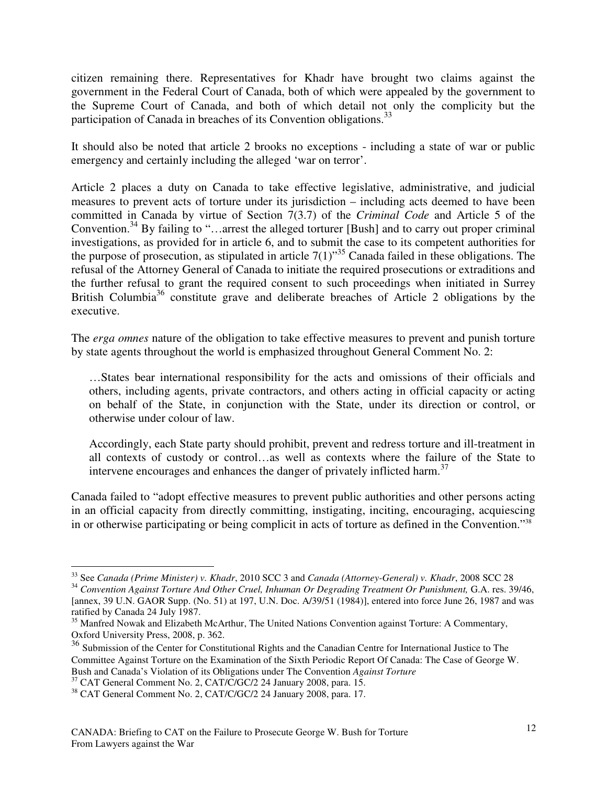citizen remaining there. Representatives for Khadr have brought two claims against the government in the Federal Court of Canada, both of which were appealed by the government to the Supreme Court of Canada, and both of which detail not only the complicity but the participation of Canada in breaches of its Convention obligations.<sup>33</sup>

It should also be noted that article 2 brooks no exceptions - including a state of war or public emergency and certainly including the alleged 'war on terror'.

Article 2 places a duty on Canada to take effective legislative, administrative, and judicial measures to prevent acts of torture under its jurisdiction – including acts deemed to have been committed in Canada by virtue of Section 7(3.7) of the *Criminal Code* and Article 5 of the Convention.<sup>34</sup> By failing to "…arrest the alleged torturer [Bush] and to carry out proper criminal investigations, as provided for in article 6, and to submit the case to its competent authorities for the purpose of prosecution, as stipulated in article  $7(1)$ <sup>35</sup> Canada failed in these obligations. The refusal of the Attorney General of Canada to initiate the required prosecutions or extraditions and the further refusal to grant the required consent to such proceedings when initiated in Surrey British Columbia<sup>36</sup> constitute grave and deliberate breaches of Article 2 obligations by the executive.

The *erga omnes* nature of the obligation to take effective measures to prevent and punish torture by state agents throughout the world is emphasized throughout General Comment No. 2:

…States bear international responsibility for the acts and omissions of their officials and others, including agents, private contractors, and others acting in official capacity or acting on behalf of the State, in conjunction with the State, under its direction or control, or otherwise under colour of law.

Accordingly, each State party should prohibit, prevent and redress torture and ill-treatment in all contexts of custody or control…as well as contexts where the failure of the State to intervene encourages and enhances the danger of privately inflicted harm.<sup>37</sup>

Canada failed to "adopt effective measures to prevent public authorities and other persons acting in an official capacity from directly committing, instigating, inciting, encouraging, acquiescing in or otherwise participating or being complicit in acts of torture as defined in the Convention."<sup>38</sup>

 $\overline{a}$ <sup>33</sup> See *Canada (Prime Minister) v. Khadr*, 2010 SCC 3 and *Canada (Attorney-General) v. Khadr*, 2008 SCC 28

<sup>&</sup>lt;sup>34</sup> Convention Against Torture And Other Cruel, Inhuman Or Degrading Treatment Or Punishment, G.A. res. 39/46, [annex, 39 U.N. GAOR Supp. (No. 51) at 197, U.N. Doc. A/39/51 (1984)], entered into force June 26, 1987 and was ratified by Canada 24 July 1987.

<sup>&</sup>lt;sup>35</sup> Manfred Nowak and Elizabeth McArthur, The United Nations Convention against Torture: A Commentary, Oxford University Press, 2008, p. 362.

<sup>36</sup> Submission of the Center for Constitutional Rights and the Canadian Centre for International Justice to The Committee Against Torture on the Examination of the Sixth Periodic Report Of Canada: The Case of George W. Bush and Canada's Violation of its Obligations under The Convention *Against Torture*

<sup>&</sup>lt;sup>37</sup> CAT General Comment No. 2, CAT/C/GC/2 24 January 2008, para. 15.

<sup>38</sup> CAT General Comment No. 2, CAT/C/GC/2 24 January 2008, para. 17.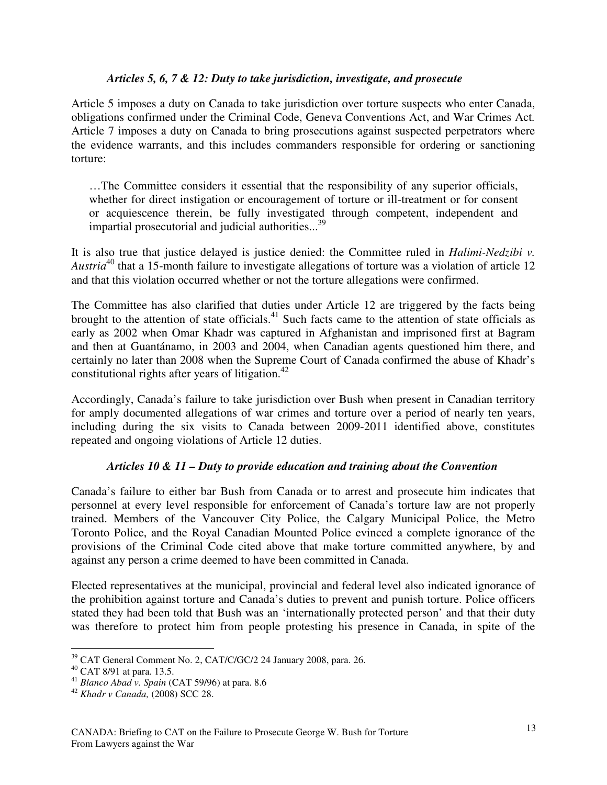#### *Articles 5, 6, 7 & 12: Duty to take jurisdiction, investigate, and prosecute*

Article 5 imposes a duty on Canada to take jurisdiction over torture suspects who enter Canada, obligations confirmed under the Criminal Code, Geneva Conventions Act, and War Crimes Act*.*  Article 7 imposes a duty on Canada to bring prosecutions against suspected perpetrators where the evidence warrants, and this includes commanders responsible for ordering or sanctioning torture:

…The Committee considers it essential that the responsibility of any superior officials, whether for direct instigation or encouragement of torture or ill-treatment or for consent or acquiescence therein, be fully investigated through competent, independent and impartial prosecutorial and judicial authorities...<sup>39</sup>

It is also true that justice delayed is justice denied: the Committee ruled in *Halimi-Nedzibi v. Austria*<sup>40</sup> that a 15-month failure to investigate allegations of torture was a violation of article 12 and that this violation occurred whether or not the torture allegations were confirmed.

The Committee has also clarified that duties under Article 12 are triggered by the facts being brought to the attention of state officials.<sup>41</sup> Such facts came to the attention of state officials as early as 2002 when Omar Khadr was captured in Afghanistan and imprisoned first at Bagram and then at Guantánamo, in 2003 and 2004, when Canadian agents questioned him there, and certainly no later than 2008 when the Supreme Court of Canada confirmed the abuse of Khadr's constitutional rights after years of litigation. $42$ 

Accordingly, Canada's failure to take jurisdiction over Bush when present in Canadian territory for amply documented allegations of war crimes and torture over a period of nearly ten years, including during the six visits to Canada between 2009-2011 identified above, constitutes repeated and ongoing violations of Article 12 duties.

#### *Articles 10 & 11 – Duty to provide education and training about the Convention*

Canada's failure to either bar Bush from Canada or to arrest and prosecute him indicates that personnel at every level responsible for enforcement of Canada's torture law are not properly trained. Members of the Vancouver City Police, the Calgary Municipal Police, the Metro Toronto Police, and the Royal Canadian Mounted Police evinced a complete ignorance of the provisions of the Criminal Code cited above that make torture committed anywhere, by and against any person a crime deemed to have been committed in Canada.

Elected representatives at the municipal, provincial and federal level also indicated ignorance of the prohibition against torture and Canada's duties to prevent and punish torture. Police officers stated they had been told that Bush was an 'internationally protected person' and that their duty was therefore to protect him from people protesting his presence in Canada, in spite of the

 $\overline{a}$  $39$  CAT General Comment No. 2, CAT/C/GC/2 24 January 2008, para. 26.

<sup>40</sup> CAT 8/91 at para. 13.5.

<sup>41</sup> *Blanco Abad v. Spain* (CAT 59/96) at para. 8.6

<sup>42</sup> *Khadr v Canada,* (2008) SCC 28.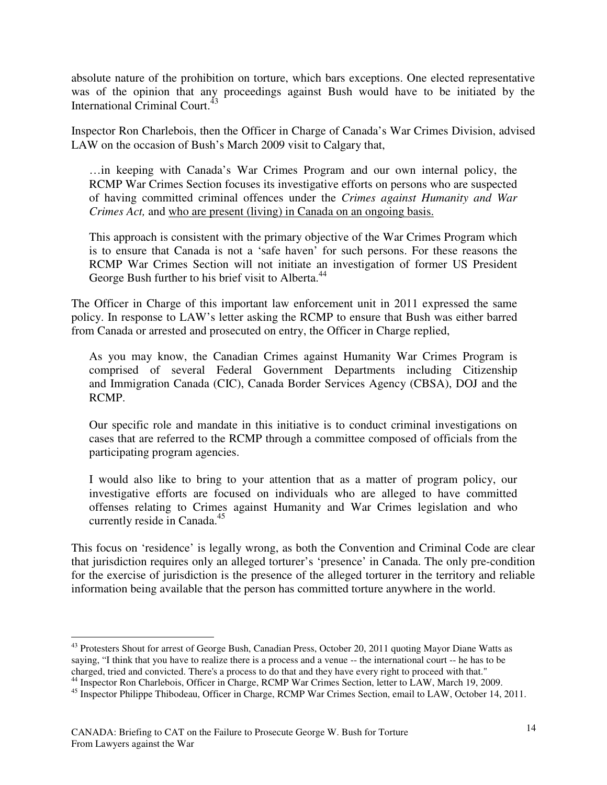absolute nature of the prohibition on torture, which bars exceptions. One elected representative was of the opinion that any proceedings against Bush would have to be initiated by the International Criminal Court.<sup>43</sup>

Inspector Ron Charlebois, then the Officer in Charge of Canada's War Crimes Division, advised LAW on the occasion of Bush's March 2009 visit to Calgary that,

…in keeping with Canada's War Crimes Program and our own internal policy, the RCMP War Crimes Section focuses its investigative efforts on persons who are suspected of having committed criminal offences under the *Crimes against Humanity and War Crimes Act,* and who are present (living) in Canada on an ongoing basis.

This approach is consistent with the primary objective of the War Crimes Program which is to ensure that Canada is not a 'safe haven' for such persons. For these reasons the RCMP War Crimes Section will not initiate an investigation of former US President George Bush further to his brief visit to Alberta.<sup>44</sup>

The Officer in Charge of this important law enforcement unit in 2011 expressed the same policy. In response to LAW's letter asking the RCMP to ensure that Bush was either barred from Canada or arrested and prosecuted on entry, the Officer in Charge replied,

As you may know, the Canadian Crimes against Humanity War Crimes Program is comprised of several Federal Government Departments including Citizenship and Immigration Canada (CIC), Canada Border Services Agency (CBSA), DOJ and the RCMP.

Our specific role and mandate in this initiative is to conduct criminal investigations on cases that are referred to the RCMP through a committee composed of officials from the participating program agencies.

I would also like to bring to your attention that as a matter of program policy, our investigative efforts are focused on individuals who are alleged to have committed offenses relating to Crimes against Humanity and War Crimes legislation and who currently reside in Canada.<sup>45</sup>

This focus on 'residence' is legally wrong, as both the Convention and Criminal Code are clear that jurisdiction requires only an alleged torturer's 'presence' in Canada. The only pre-condition for the exercise of jurisdiction is the presence of the alleged torturer in the territory and reliable information being available that the person has committed torture anywhere in the world.

<sup>&</sup>lt;sup>43</sup> Protesters Shout for arrest of George Bush, Canadian Press, October 20, 2011 quoting Mayor Diane Watts as saying, "I think that you have to realize there is a process and a venue -- the international court -- he has to be charged, tried and convicted. There's a process to do that and they have every right to proceed with that."

<sup>&</sup>lt;sup>44</sup> Inspector Ron Charlebois, Officer in Charge, RCMP War Crimes Section, letter to LAW, March 19, 2009.

<sup>&</sup>lt;sup>45</sup> Inspector Philippe Thibodeau, Officer in Charge, RCMP War Crimes Section, email to LAW, October 14, 2011.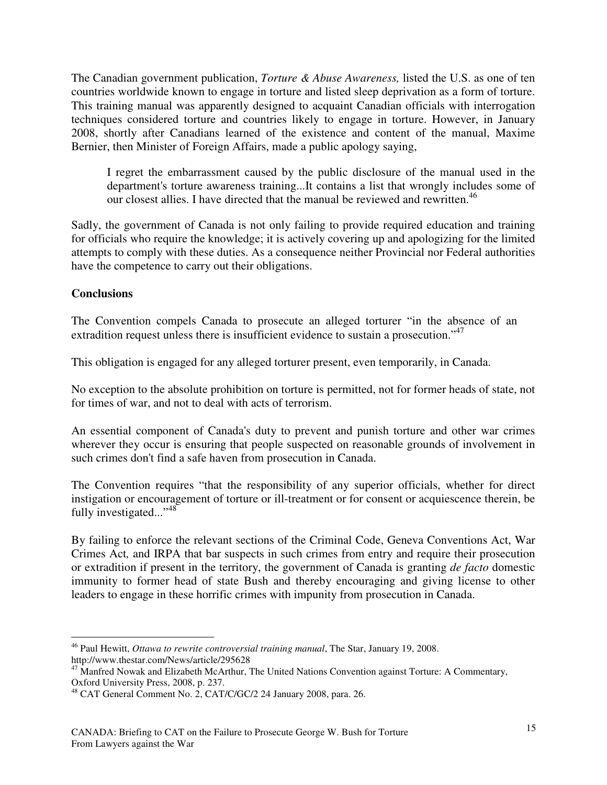The Canadian government publication, *Torture & Abuse Awareness,* listed the U.S. as one of ten countries worldwide known to engage in torture and listed sleep deprivation as a form of torture. This training manual was apparently designed to acquaint Canadian officials with interrogation techniques considered torture and countries likely to engage in torture. However, in January 2008, shortly after Canadians learned of the existence and content of the manual, Maxime Bernier, then Minister of Foreign Affairs, made a public apology saying,

I regret the embarrassment caused by the public disclosure of the manual used in the department's torture awareness training...It contains a list that wrongly includes some of our closest allies. I have directed that the manual be reviewed and rewritten.<sup>46</sup>

Sadly, the government of Canada is not only failing to provide required education and training for officials who require the knowledge; it is actively covering up and apologizing for the limited attempts to comply with these duties. As a consequence neither Provincial nor Federal authorities have the competence to carry out their obligations.

### **Conclusions**

The Convention compels Canada to prosecute an alleged torturer "in the absence of an extradition request unless there is insufficient evidence to sustain a prosecution."<sup>47</sup>

This obligation is engaged for any alleged torturer present, even temporarily, in Canada.

No exception to the absolute prohibition on torture is permitted, not for former heads of state, not for times of war, and not to deal with acts of terrorism.

An essential component of Canada's duty to prevent and punish torture and other war crimes wherever they occur is ensuring that people suspected on reasonable grounds of involvement in such crimes don't find a safe haven from prosecution in Canada.

The Convention requires "that the responsibility of any superior officials, whether for direct instigation or encouragement of torture or ill-treatment or for consent or acquiescence therein, be fully investigated... $^{348}$ 

By failing to enforce the relevant sections of the Criminal Code, Geneva Conventions Act, War Crimes Act*,* and IRPA that bar suspects in such crimes from entry and require their prosecution or extradition if present in the territory, the government of Canada is granting *de facto* domestic immunity to former head of state Bush and thereby encouraging and giving license to other leaders to engage in these horrific crimes with impunity from prosecution in Canada.

 $\overline{a}$ <sup>46</sup> Paul Hewitt, *Ottawa to rewrite controversial training manual*, The Star, January 19, 2008. http://www.thestar.com/News/article/295628

<sup>&</sup>lt;sup>47</sup> Manfred Nowak and Elizabeth McArthur, The United Nations Convention against Torture: A Commentary, Oxford University Press, 2008, p. 237.

<sup>48</sup> CAT General Comment No. 2, CAT/C/GC/2 24 January 2008, para. 26.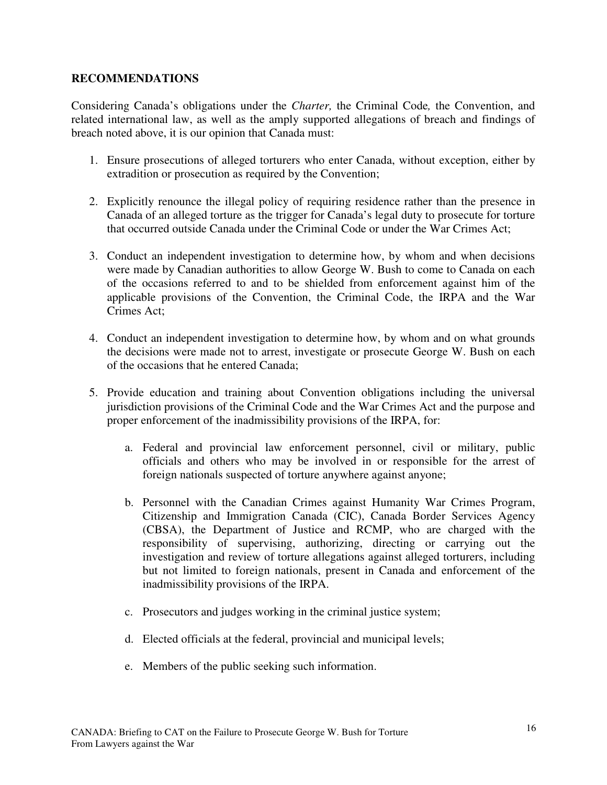#### **RECOMMENDATIONS**

Considering Canada's obligations under the *Charter,* the Criminal Code*,* the Convention, and related international law, as well as the amply supported allegations of breach and findings of breach noted above, it is our opinion that Canada must:

- 1. Ensure prosecutions of alleged torturers who enter Canada, without exception, either by extradition or prosecution as required by the Convention;
- 2. Explicitly renounce the illegal policy of requiring residence rather than the presence in Canada of an alleged torture as the trigger for Canada's legal duty to prosecute for torture that occurred outside Canada under the Criminal Code or under the War Crimes Act;
- 3. Conduct an independent investigation to determine how, by whom and when decisions were made by Canadian authorities to allow George W. Bush to come to Canada on each of the occasions referred to and to be shielded from enforcement against him of the applicable provisions of the Convention, the Criminal Code, the IRPA and the War Crimes Act;
- 4. Conduct an independent investigation to determine how, by whom and on what grounds the decisions were made not to arrest, investigate or prosecute George W. Bush on each of the occasions that he entered Canada;
- 5. Provide education and training about Convention obligations including the universal jurisdiction provisions of the Criminal Code and the War Crimes Act and the purpose and proper enforcement of the inadmissibility provisions of the IRPA, for:
	- a. Federal and provincial law enforcement personnel, civil or military, public officials and others who may be involved in or responsible for the arrest of foreign nationals suspected of torture anywhere against anyone;
	- b. Personnel with the Canadian Crimes against Humanity War Crimes Program, Citizenship and Immigration Canada (CIC), Canada Border Services Agency (CBSA), the Department of Justice and RCMP, who are charged with the responsibility of supervising, authorizing, directing or carrying out the investigation and review of torture allegations against alleged torturers, including but not limited to foreign nationals, present in Canada and enforcement of the inadmissibility provisions of the IRPA.
	- c. Prosecutors and judges working in the criminal justice system;
	- d. Elected officials at the federal, provincial and municipal levels;
	- e. Members of the public seeking such information.